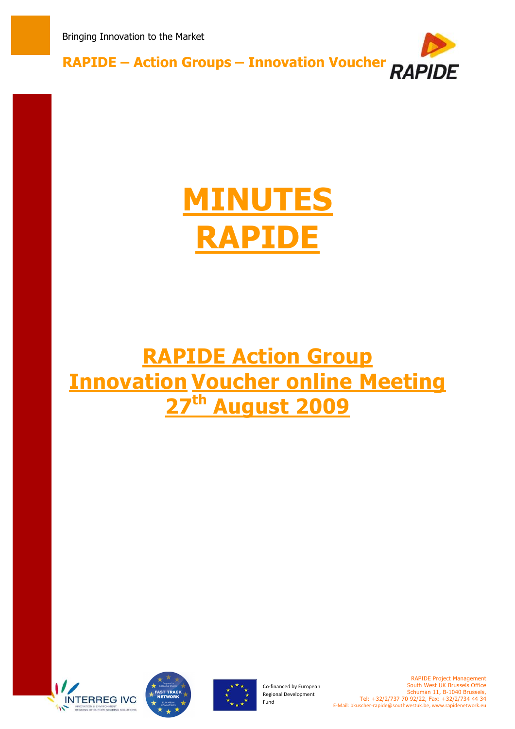

# **MINUTES RAPIDE**

## **RAPIDE Action Group Innovation Voucher online Meeting 27th August 2009**







Co-financed by European Regional Development Fund

RAPIDE Project Management South West UK Brussels Office Schuman 11, B-1040 Brussels, Tel: +32/2/737 70 92/22, Fax: +32/2/734 44 34 E-Mail: bkuscher-rapide@southwestuk.be, www.rapidenetwork.eu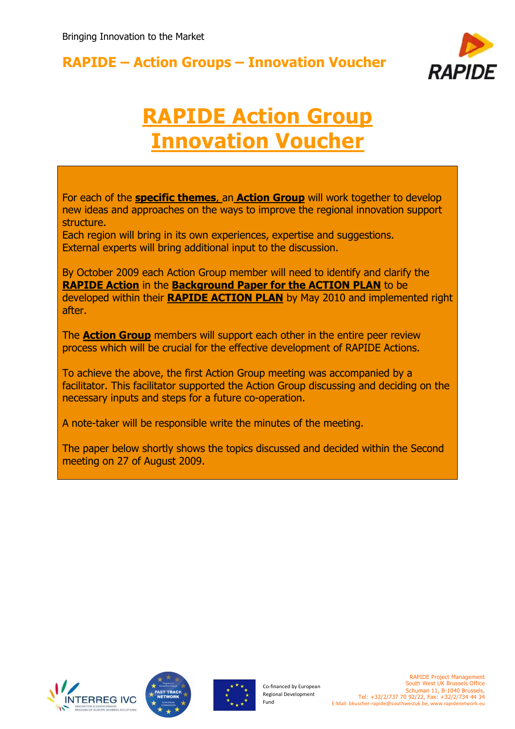

## **RAPIDE Action Group Innovation Voucher**

For each of the **specific themes**, an **Action Group** will work together to develop new ideas and approaches on the ways to improve the regional innovation support structure.

Each region will bring in its own experiences, expertise and suggestions. External experts will bring additional input to the discussion.

By October 2009 each Action Group member will need to identify and clarify the **RAPIDE Action** in the **Background Paper for the ACTION PLAN** to be developed within their **RAPIDE ACTION PLAN** by May 2010 and implemented right after.

The **Action Group** members will support each other in the entire peer review process which will be crucial for the effective development of RAPIDE Actions.

To achieve the above, the first Action Group meeting was accompanied by a facilitator. This facilitator supported the Action Group discussing and deciding on the necessary inputs and steps for a future co-operation.

A note-taker will be responsible write the minutes of the meeting.

The paper below shortly shows the topics discussed and decided within the Second meeting on 27 of August 2009.







Co-financed by European Regional Development Fund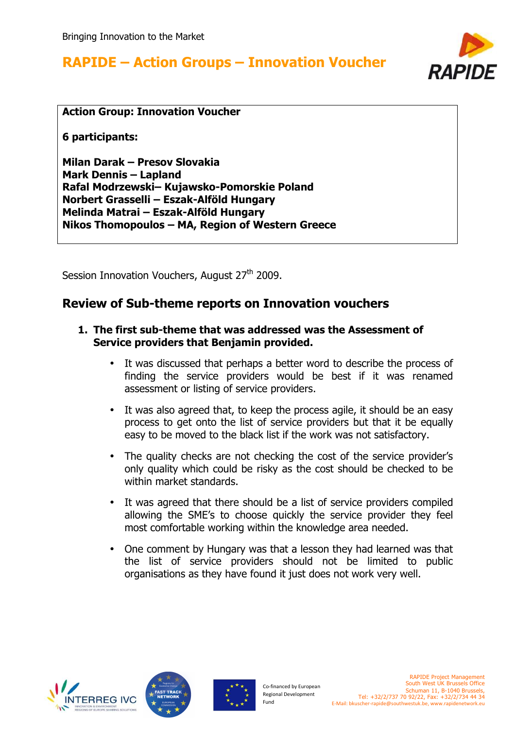

**Action Group: Innovation Voucher**

**6 participants:** 

**Milan Darak – Presov Slovakia Mark Dennis – Lapland Rafal Modrzewski– Kujawsko-Pomorskie Poland Norbert Grasselli – Eszak-Alföld Hungary Melinda Matrai – Eszak-Alföld Hungary Nikos Thomopoulos – MA, Region of Western Greece** 

Session Innovation Vouchers, August 27<sup>th</sup> 2009.

#### **Review of Sub-theme reports on Innovation vouchers**

#### **1. The first sub-theme that was addressed was the Assessment of Service providers that Benjamin provided.**

- It was discussed that perhaps a better word to describe the process of finding the service providers would be best if it was renamed assessment or listing of service providers.
- It was also agreed that, to keep the process agile, it should be an easy process to get onto the list of service providers but that it be equally easy to be moved to the black list if the work was not satisfactory.
- The quality checks are not checking the cost of the service provider's only quality which could be risky as the cost should be checked to be within market standards.
- It was agreed that there should be a list of service providers compiled allowing the SME's to choose quickly the service provider they feel most comfortable working within the knowledge area needed.
- One comment by Hungary was that a lesson they had learned was that the list of service providers should not be limited to public organisations as they have found it just does not work very well.





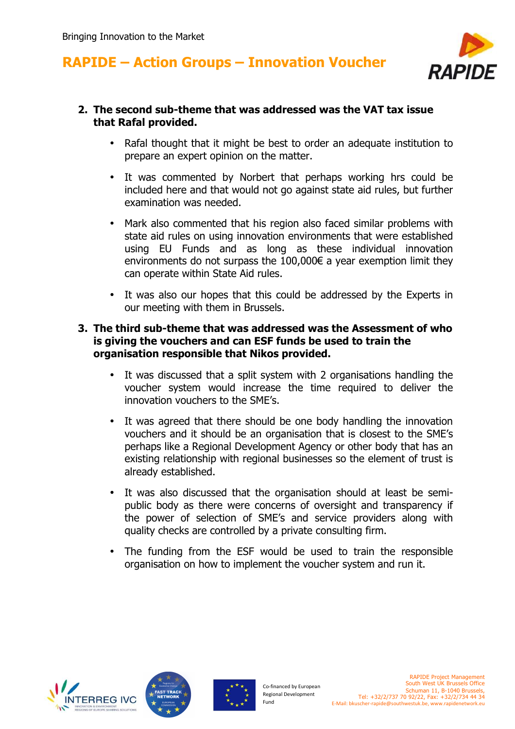

#### **2. The second sub-theme that was addressed was the VAT tax issue that Rafal provided.**

- Rafal thought that it might be best to order an adequate institution to prepare an expert opinion on the matter.
- It was commented by Norbert that perhaps working hrs could be included here and that would not go against state aid rules, but further examination was needed.
- Mark also commented that his region also faced similar problems with state aid rules on using innovation environments that were established using EU Funds and as long as these individual innovation environments do not surpass the 100,000€ a year exemption limit they can operate within State Aid rules.
- It was also our hopes that this could be addressed by the Experts in our meeting with them in Brussels.

#### **3. The third sub-theme that was addressed was the Assessment of who is giving the vouchers and can ESF funds be used to train the organisation responsible that Nikos provided.**

- It was discussed that a split system with 2 organisations handling the voucher system would increase the time required to deliver the innovation vouchers to the SME's.
- It was agreed that there should be one body handling the innovation vouchers and it should be an organisation that is closest to the SME's perhaps like a Regional Development Agency or other body that has an existing relationship with regional businesses so the element of trust is already established.
- It was also discussed that the organisation should at least be semipublic body as there were concerns of oversight and transparency if the power of selection of SME's and service providers along with quality checks are controlled by a private consulting firm.
- The funding from the ESF would be used to train the responsible organisation on how to implement the voucher system and run it.





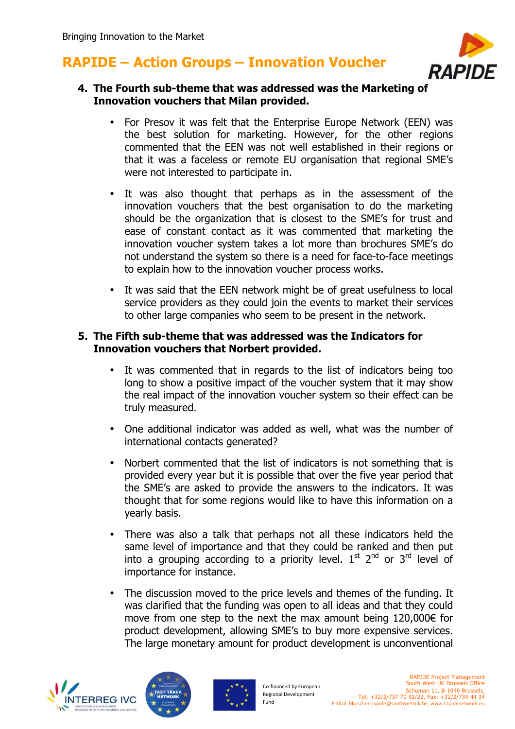

#### **4. The Fourth sub-theme that was addressed was the Marketing of Innovation vouchers that Milan provided.**

- For Presov it was felt that the Enterprise Europe Network (EEN) was the best solution for marketing. However, for the other regions commented that the EEN was not well established in their regions or that it was a faceless or remote EU organisation that regional SME's were not interested to participate in.
- It was also thought that perhaps as in the assessment of the innovation vouchers that the best organisation to do the marketing should be the organization that is closest to the SME's for trust and ease of constant contact as it was commented that marketing the innovation voucher system takes a lot more than brochures SME's do not understand the system so there is a need for face-to-face meetings to explain how to the innovation voucher process works.
- It was said that the EEN network might be of great usefulness to local service providers as they could join the events to market their services to other large companies who seem to be present in the network.

#### **5. The Fifth sub-theme that was addressed was the Indicators for Innovation vouchers that Norbert provided.**

- It was commented that in regards to the list of indicators being too long to show a positive impact of the voucher system that it may show the real impact of the innovation voucher system so their effect can be truly measured.
- One additional indicator was added as well, what was the number of international contacts generated?
- Norbert commented that the list of indicators is not something that is provided every year but it is possible that over the five year period that the SME's are asked to provide the answers to the indicators. It was thought that for some regions would like to have this information on a yearly basis.
- There was also a talk that perhaps not all these indicators held the same level of importance and that they could be ranked and then put into a grouping according to a priority level.  $1^{st}$   $2^{nd}$  or  $3^{rd}$  level of importance for instance.
- The discussion moved to the price levels and themes of the funding. It was clarified that the funding was open to all ideas and that they could move from one step to the next the max amount being 120,000€ for product development, allowing SME's to buy more expensive services. The large monetary amount for product development is unconventional





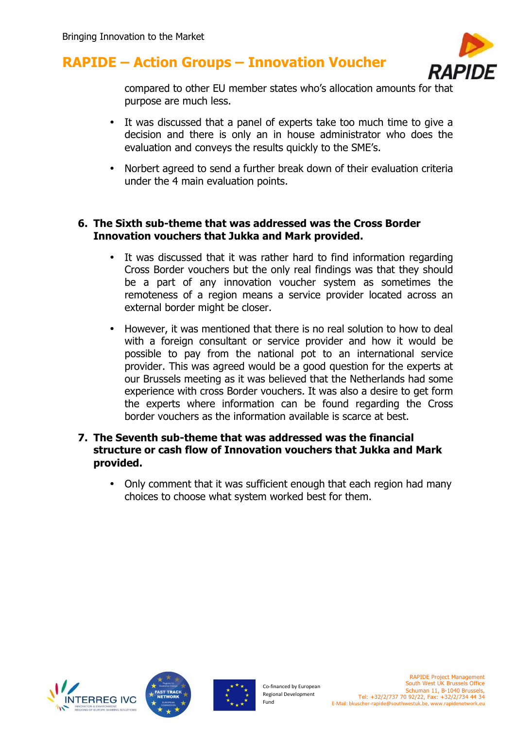

compared to other EU member states who's allocation amounts for that purpose are much less.

- It was discussed that a panel of experts take too much time to give a decision and there is only an in house administrator who does the evaluation and conveys the results quickly to the SME's.
- Norbert agreed to send a further break down of their evaluation criteria under the 4 main evaluation points.

#### **6. The Sixth sub-theme that was addressed was the Cross Border Innovation vouchers that Jukka and Mark provided.**

- It was discussed that it was rather hard to find information regarding Cross Border vouchers but the only real findings was that they should be a part of any innovation voucher system as sometimes the remoteness of a region means a service provider located across an external border might be closer.
- However, it was mentioned that there is no real solution to how to deal with a foreign consultant or service provider and how it would be possible to pay from the national pot to an international service provider. This was agreed would be a good question for the experts at our Brussels meeting as it was believed that the Netherlands had some experience with cross Border vouchers. It was also a desire to get form the experts where information can be found regarding the Cross border vouchers as the information available is scarce at best.

#### **7. The Seventh sub-theme that was addressed was the financial structure or cash flow of Innovation vouchers that Jukka and Mark provided.**

• Only comment that it was sufficient enough that each region had many choices to choose what system worked best for them.







Co-financed by European Regional Development Fund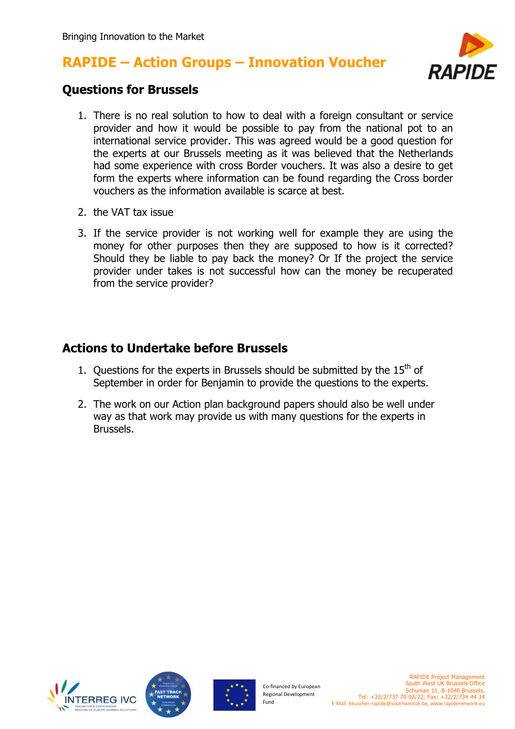

#### **Questions for Brussels**

- 1. There is no real solution to how to deal with a foreign consultant or service provider and how it would be possible to pay from the national pot to an international service provider. This was agreed would be a good question for the experts at our Brussels meeting as it was believed that the Netherlands had some experience with cross Border vouchers. It was also a desire to get form the experts where information can be found regarding the Cross border vouchers as the information available is scarce at best.
- 2. the VAT tax issue
- 3. If the service provider is not working well for example they are using the money for other purposes then they are supposed to how is it corrected? Should they be liable to pay back the money? Or If the project the service provider under takes is not successful how can the money be recuperated from the service provider?

#### **Actions to Undertake before Brussels**

- 1. Questions for the experts in Brussels should be submitted by the  $15<sup>th</sup>$  of September in order for Benjamin to provide the questions to the experts.
- 2. The work on our Action plan background papers should also be well under way as that work may provide us with many questions for the experts in Brussels.





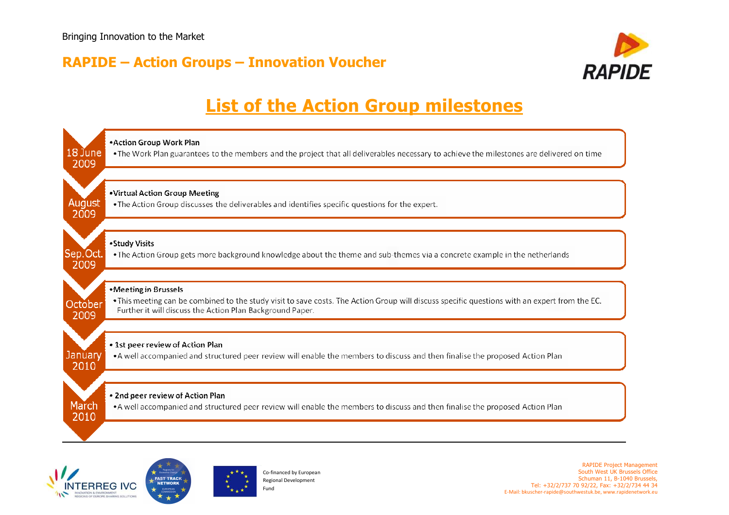

## **List of the Action Group milestones**







Co-financed by European Regional Development Fund

RAPIDE Project Management South West UK Brussels Office Schuman 11, B-1040 Brussels, Tel: +32/2/737 70 92/22, Fax: +32/2/734 44 34 E-Mail: bkuscher-rapide@southwestuk.be, www.rapidenetwork.eu